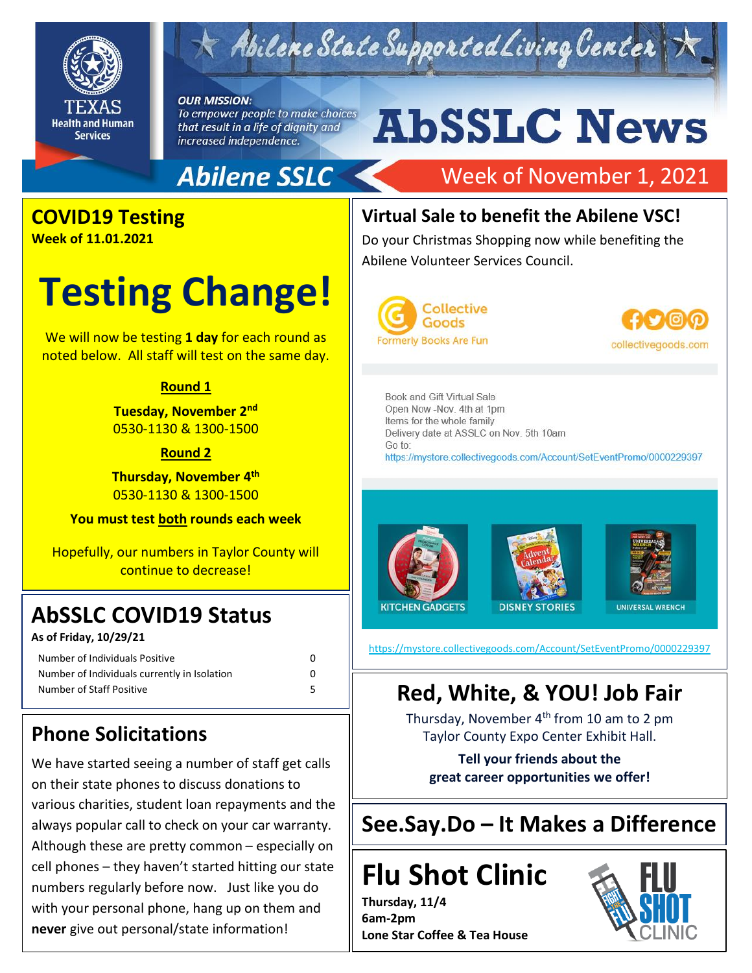

## Abilene State Supported Living Center

#### **OUR MISSION:**

To empower people to make choices that result in a life of dignity and increased independence.

# **AbSSLC News**

#### **Abilene SSLC**

## Week of November 1, 2021

### **COVID19 Testing**

**Week of 11.01.2021**

## **Testing Change!**

We will now be testing **1 day** for each round as noted below. All staff will test on the same day.

#### **Round 1**

**Tuesday, November 2nd** 0530-1130 & 1300-1500

#### **Round 2**

**Thursday, November 4 th** 0530-1130 & 1300-1500

**You must test both rounds each week**

Hopefully, our numbers in Taylor County will continue to decrease!

### **AbSSLC COVID19 Status**

**As of Friday, 10/29/21**

| Number of Individuals Positive               |  |
|----------------------------------------------|--|
| Number of Individuals currently in Isolation |  |
| Number of Staff Positive                     |  |

| 0 |  |
|---|--|
| 0 |  |
| 5 |  |

#### **Phone Solicitations**

We have started seeing a number of staff get calls on their state phones to discuss donations to various charities, student loan repayments and the always popular call to check on your car warranty. Although these are pretty common – especially on cell phones – they haven't started hitting our state numbers regularly before now. Just like you do with your personal phone, hang up on them and **never** give out personal/state information!

#### **Virtual Sale to benefit the Abilene VSC!**

Do your Christmas Shopping now while benefiting the Abilene Volunteer Services Council.





Book and Gift Virtual Sale Open Now -Nov. 4th at 1pm Items for the whole family Delivery date at ASSLC on Nov. 5th 10am Go to: https://mystore.collectivegoods.com/Account/SetEventPromo/0000229397





2019

<https://mystore.collectivegoods.com/Account/SetEventPromo/0000229397>

#### **Red, White, & YOU! Job Fair**

Thursday, November 4<sup>th</sup> from 10 am to 2 pm Taylor County Expo Center Exhibit Hall.

**Tell your friends about the great career opportunities we offer!**

**See.Say.Do – It Makes a Difference**

## **Flu Shot Clinic**

**Thursday, 11/4 6am-2pm Lone Star Coffee & Tea House**

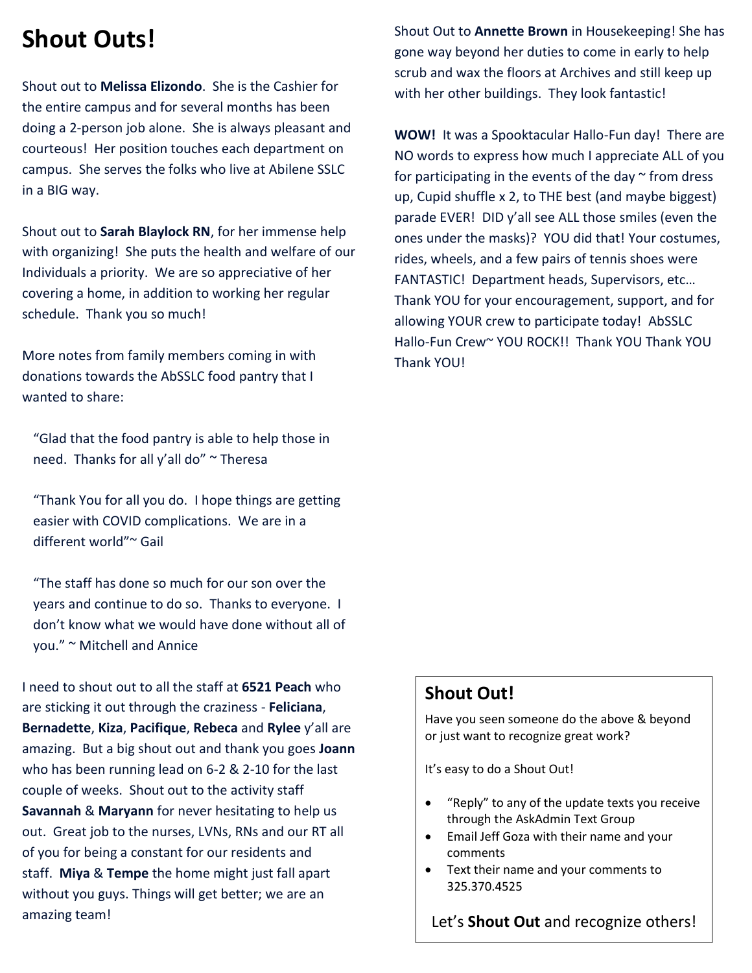## **Shout Outs!**

Shout out to **Melissa Elizondo**. She is the Cashier for the entire campus and for several months has been doing a 2-person job alone. She is always pleasant and courteous! Her position touches each department on campus. She serves the folks who live at Abilene SSLC in a BIG way.

Shout out to **Sarah Blaylock RN**, for her immense help with organizing! She puts the health and welfare of our Individuals a priority. We are so appreciative of her covering a home, in addition to working her regular schedule. Thank you so much!

More notes from family members coming in with donations towards the AbSSLC food pantry that I wanted to share:

"Glad that the food pantry is able to help those in need. Thanks for all y'all do" ~ Theresa

"Thank You for all you do. I hope things are getting easier with COVID complications. We are in a different world"~ Gail

"The staff has done so much for our son over the years and continue to do so. Thanks to everyone. I don't know what we would have done without all of you." ~ Mitchell and Annice

I need to shout out to all the staff at **6521 Peach** who are sticking it out through the craziness - **Feliciana**, **Bernadette**, **Kiza**, **Pacifique**, **Rebeca** and **Rylee** y'all are amazing. But a big shout out and thank you goes **Joann** who has been running lead on 6-2 & 2-10 for the last couple of weeks. Shout out to the activity staff **Savannah** & **Maryann** for never hesitating to help us out. Great job to the nurses, LVNs, RNs and our RT all of you for being a constant for our residents and staff. **Miya** & **Tempe** the home might just fall apart without you guys. Things will get better; we are an amazing team!

Shout Out to **Annette Brown** in Housekeeping! She has gone way beyond her duties to come in early to help scrub and wax the floors at Archives and still keep up with her other buildings. They look fantastic!

**WOW!** It was a Spooktacular Hallo-Fun day! There are NO words to express how much I appreciate ALL of you for participating in the events of the day  $\sim$  from dress up, Cupid shuffle x 2, to THE best (and maybe biggest) parade EVER! DID y'all see ALL those smiles (even the ones under the masks)? YOU did that! Your costumes, rides, wheels, and a few pairs of tennis shoes were FANTASTIC! Department heads, Supervisors, etc… Thank YOU for your encouragement, support, and for allowing YOUR crew to participate today! AbSSLC Hallo-Fun Crew~ YOU ROCK!! Thank YOU Thank YOU Thank YOU!

#### **Shout Out!**

Have you seen someone do the above & beyond or just want to recognize great work?

It's easy to do a Shout Out!

- "Reply" to any of the update texts you receive through the AskAdmin Text Group
- Email Jeff Goza with their name and your comments
- Text their name and your comments to 325.370.4525

Let's **Shout Out** and recognize others!